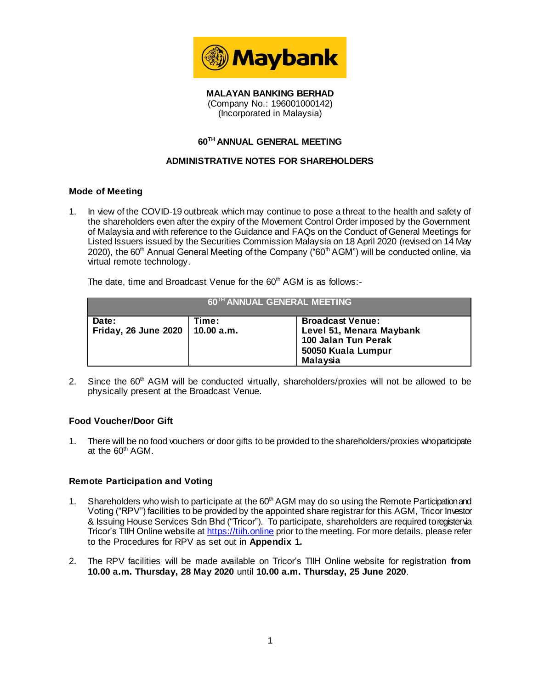

**MALAYAN BANKING BERHAD** (Company No.: 196001000142) (Incorporated in Malaysia)

## **60TH ANNUAL GENERAL MEETING**

# **ADMINISTRATIVE NOTES FOR SHAREHOLDERS**

## **Mode of Meeting**

1. In view of the COVID-19 outbreak which may continue to pose a threat to the health and safety of the shareholders even after the expiry of the Movement Control Order imposed by the Government of Malaysia and with reference to the Guidance and FAQs on the Conduct of General Meetings for Listed Issuers issued by the Securities Commission Malaysia on 18 April 2020 (revised on 14 May 2020), the 60<sup>th</sup> Annual General Meeting of the Company ("60<sup>th</sup> AGM") will be conducted online, via virtual remote technology.

The date, time and Broadcast Venue for the 60<sup>th</sup> AGM is as follows:-

| 60 <sup>TH</sup> ANNUAL GENERAL MEETING |                     |                                                                                                                     |  |
|-----------------------------------------|---------------------|---------------------------------------------------------------------------------------------------------------------|--|
| Date:<br>Friday, 26 June 2020           | Time:<br>10.00 a.m. | <b>Broadcast Venue:</b><br>Level 51, Menara Maybank<br>100 Jalan Tun Perak<br>50050 Kuala Lumpur<br><b>Malaysia</b> |  |

2. Since the  $60<sup>th</sup>$  AGM will be conducted virtually, shareholders/proxies will not be allowed to be physically present at the Broadcast Venue.

#### **Food Voucher/Door Gift**

1. There will be no food vouchers or door gifts to be provided to the shareholders/proxies who participate at the 60<sup>th</sup> AGM.

#### **Remote Participation and Voting**

- 1. Shareholders who wish to participate at the 60<sup>th</sup> AGM may do so using the Remote Participation and Voting ("RPV") facilities to be provided by the appointed share registrar for this AGM, Tricor Investor & Issuing House Services Sdn Bhd ("Tricor"). To participate, shareholders are required to register via Tricor's TIIH Online website at [https://tiih.online](https://tiih.online/) prior to the meeting. For more details, please refer to the Procedures for RPV as set out in **Appendix 1.**
- 2. The RPV facilities will be made available on Tricor's TIIH Online website for registration **from 10.00 a.m. Thursday, 28 May 2020** until **10.00 a.m. Thursday, 25 June 2020**.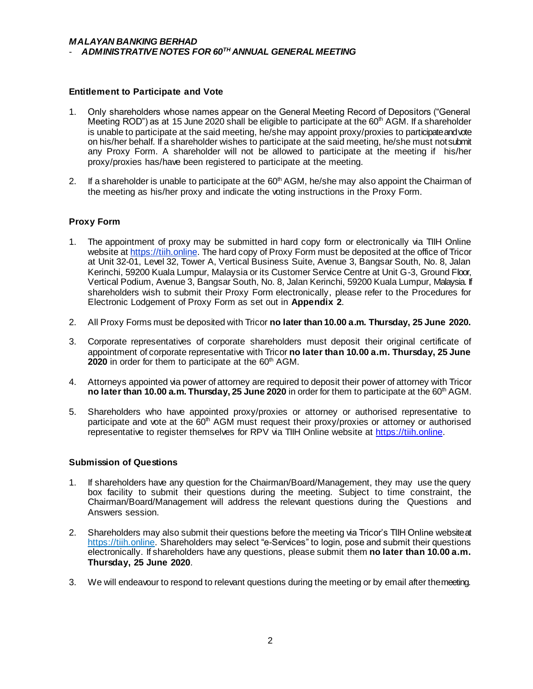## **Entitlement to Participate and Vote**

- 1. Only shareholders whose names appear on the General Meeting Record of Depositors ("General Meeting ROD") as at 15 June 2020 shall be eligible to participate at the  $60<sup>th</sup>$  AGM. If a shareholder is unable to participate at the said meeting, he/she may appoint proxy/proxies to participate and vote on his/her behalf. If a shareholder wishes to participate at the said meeting, he/she must not submit any Proxy Form. A shareholder will not be allowed to participate at the meeting if his/her proxy/proxies has/have been registered to participate at the meeting.
- 2. If a shareholder is unable to participate at the  $60<sup>th</sup>$  AGM, he/she may also appoint the Chairman of the meeting as his/her proxy and indicate the voting instructions in the Proxy Form.

## **Proxy Form**

- 1. The appointment of proxy may be submitted in hard copy form or electronically via TIIH Online website at https://tiih.online. The hard copy of Proxy Form must be deposited at the office of Tricor at Unit 32-01, Level 32, Tower A, Vertical Business Suite, Avenue 3, Bangsar South, No. 8, Jalan Kerinchi, 59200 Kuala Lumpur, Malaysia or its Customer Service Centre at Unit G-3, Ground Floor, Vertical Podium, Avenue 3, Bangsar South, No. 8, Jalan Kerinchi, 59200 Kuala Lumpur, Malaysia. If shareholders wish to submit their Proxy Form electronically, please refer to the Procedures for Electronic Lodgement of Proxy Form as set out in **Appendix 2**.
- 2. All Proxy Forms must be deposited with Tricor **no later than 10.00 a.m. Thursday, 25 June 2020.**
- 3. Corporate representatives of corporate shareholders must deposit their original certificate of appointment of corporate representative with Tricor **no later than 10.00 a.m. Thursday, 25 June 2020** in order for them to participate at the 60<sup>th</sup> AGM.
- 4. Attorneys appointed via power of attorney are required to deposit their power of attorney with Tricor **no later than 10.00 a.m. Thursday, 25 June 2020** in order for them to participate at the 60<sup>th</sup> AGM.
- 5. Shareholders who have appointed proxy/proxies or attorney or authorised representative to participate and vote at the 60<sup>th</sup> AGM must request their proxy/proxies or attorney or authorised representative to register themselves for RPV via TIIH Online website [at https://tiih.onli](https://tiih.online/)ne.

#### **Submission of Questions**

- 1. If shareholders have any question for the Chairman/Board/Management, they may use the query box facility to submit their questions during the meeting. Subject to time constraint, the Chairman/Board/Management will address the relevant questions during the Questions and Answers session.
- 2. Shareholders may also submit their questions before the meeting via Tricor's TIIH Online website at [https://tiih.online](https://tiih.online/). Shareholders may select "e-Services" to login, pose and submit their questions electronically. If shareholders have any questions, please submit them **no later than 10.00 a.m. Thursday, 25 June 2020**.
- 3. We will endeavour to respond to relevant questions during the meeting or by email after the meeting.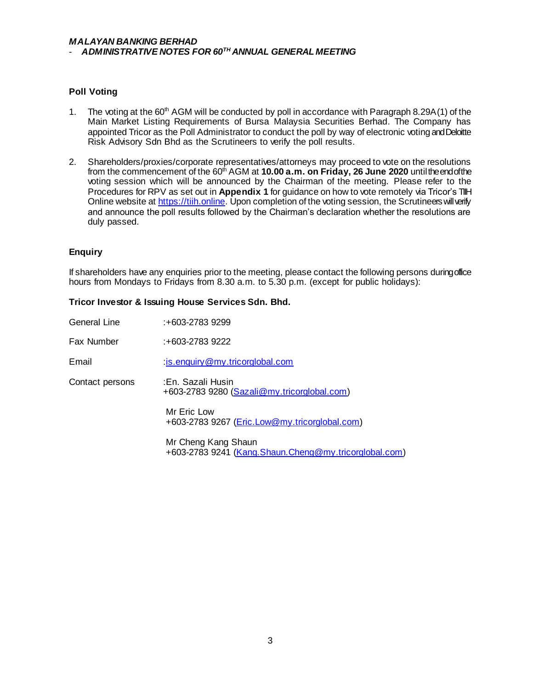### *MALAYAN BANKING BERHAD* - *ADMINISTRATIVE NOTES FOR 60TH ANNUAL GENERAL MEETING*

## **Poll Voting**

- 1. The voting at the 60<sup>th</sup> AGM will be conducted by poll in accordance with Paragraph 8.29A(1) of the Main Market Listing Requirements of Bursa Malaysia Securities Berhad. The Company has appointed Tricor as the Poll Administrator to conduct the poll by way of electronic voting and Deloitte Risk Advisory Sdn Bhd as the Scrutineers to verify the poll results.
- 2. Shareholders/proxies/corporate representatives/attorneys may proceed to vote on the resolutions from the commencement of the 60<sup>th</sup> AGM at **10.00 a.m. on Friday, 26 June 2020** until the end of the voting session which will be announced by the Chairman of the meeting. Please refer to the Procedures for RPV as set out in **Appendix 1** for guidance on how to vote remotely via Tricor's TIIH Online website a[t https://tiih.online](https://tiih.online/). Upon completion of the voting session, the Scrutineers will verify and announce the poll results followed by the Chairman's declaration whether the resolutions are duly passed.

## **Enquiry**

If shareholders have any enquiries prior to the meeting, please contact the following persons during office hours from Mondays to Fridays from 8.30 a.m. to 5.30 p.m. (except for public holidays):

### **Tricor Investor & Issuing House Services Sdn. Bhd.**

| :+603-2783 9299                                                              |
|------------------------------------------------------------------------------|
| :+603-2783 9222                                                              |
| $\therefore$ is enquiry @my.tricorglobal.com                                 |
| :En. Sazali Husin<br>+603-2783 9280 (Sazali@my.tricorglobal.com)             |
| Mr Eric Low<br>+603-2783 9267 ( <i>Eric.Low@my.tricorglobal.com</i> )        |
| Mr Cheng Kang Shaun<br>+603-2783 9241 (Kang.Shaun.Cheng@my.tricorglobal.com) |
|                                                                              |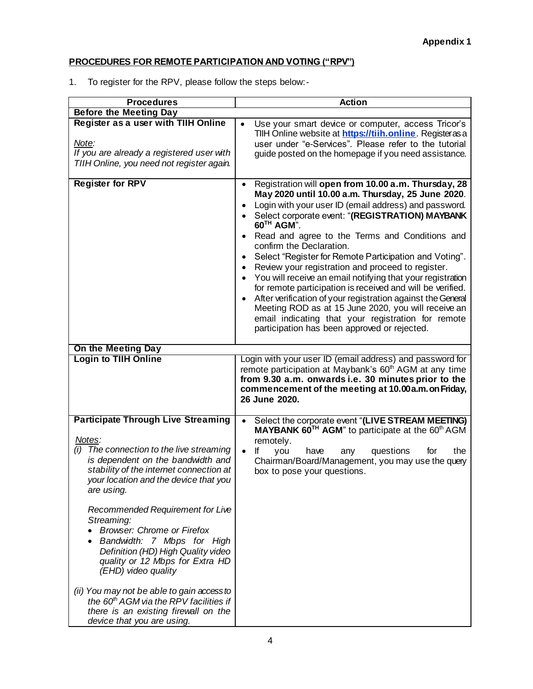# **PROCEDURES FOR REMOTE PARTICIPATION AND VOTING ("RPV")**

1. To register for the RPV, please follow the steps below:-

| <b>Procedures</b>                                                                                                                                                                                                                                                                                                                                                                                                                                                                                         | <b>Action</b>                                                                                                                                                                                                                                                                                                                                                                                                                                                                                                                                                                                                                                                                                                                                                                                                                                                                                               |  |
|-----------------------------------------------------------------------------------------------------------------------------------------------------------------------------------------------------------------------------------------------------------------------------------------------------------------------------------------------------------------------------------------------------------------------------------------------------------------------------------------------------------|-------------------------------------------------------------------------------------------------------------------------------------------------------------------------------------------------------------------------------------------------------------------------------------------------------------------------------------------------------------------------------------------------------------------------------------------------------------------------------------------------------------------------------------------------------------------------------------------------------------------------------------------------------------------------------------------------------------------------------------------------------------------------------------------------------------------------------------------------------------------------------------------------------------|--|
| <b>Before the Meeting Day</b>                                                                                                                                                                                                                                                                                                                                                                                                                                                                             |                                                                                                                                                                                                                                                                                                                                                                                                                                                                                                                                                                                                                                                                                                                                                                                                                                                                                                             |  |
| Register as a user with TIIH Online<br>Note:<br>If you are already a registered user with<br>TIIH Online, you need not register again.                                                                                                                                                                                                                                                                                                                                                                    | Use your smart device or computer, access Tricor's<br>TIIH Online website at https://tiih.online. Registeras a<br>user under "e-Services". Please refer to the tutorial<br>guide posted on the homepage if you need assistance.                                                                                                                                                                                                                                                                                                                                                                                                                                                                                                                                                                                                                                                                             |  |
| <b>Register for RPV</b>                                                                                                                                                                                                                                                                                                                                                                                                                                                                                   | Registration will open from 10.00 a.m. Thursday, 28<br>$\bullet$<br>May 2020 until 10.00 a.m. Thursday, 25 June 2020.<br>Login with your user ID (email address) and password.<br>$\bullet$<br>Select corporate event: "(REGISTRATION) MAYBANK<br>$\bullet$<br>60 <sup>TH</sup> AGM".<br>Read and agree to the Terms and Conditions and<br>$\bullet$<br>confirm the Declaration.<br>Select "Register for Remote Participation and Voting".<br>$\bullet$<br>Review your registration and proceed to register.<br>$\bullet$<br>You will receive an email notifying that your registration<br>$\bullet$<br>for remote participation is received and will be verified.<br>After verification of your registration against the General<br>$\bullet$<br>Meeting ROD as at 15 June 2020, you will receive an<br>email indicating that your registration for remote<br>participation has been approved or rejected. |  |
| On the Meeting Day                                                                                                                                                                                                                                                                                                                                                                                                                                                                                        |                                                                                                                                                                                                                                                                                                                                                                                                                                                                                                                                                                                                                                                                                                                                                                                                                                                                                                             |  |
| <b>Login to TIIH Online</b>                                                                                                                                                                                                                                                                                                                                                                                                                                                                               | Login with your user ID (email address) and password for<br>remote participation at Maybank's 60 <sup>th</sup> AGM at any time<br>from 9.30 a.m. onwards i.e. 30 minutes prior to the<br>commencement of the meeting at 10.00 a.m. on Friday,<br>26 June 2020.                                                                                                                                                                                                                                                                                                                                                                                                                                                                                                                                                                                                                                              |  |
| <b>Participate Through Live Streaming</b><br>Notes:<br>(i) The connection to the live streaming<br>is dependent on the bandwidth and<br>stability of the internet connection at<br>your location and the device that you<br>are using.<br>Recommended Requirement for Live<br>Streaming:<br><b>Browser: Chrome or Firefox</b><br>Bandwidth: 7 Mbps for High<br>Definition (HD) High Quality video<br>quality or 12 Mbps for Extra HD<br>(EHD) video quality<br>(ii) You may not be able to gain access to | Select the corporate event "(LIVE STREAM MEETING)<br>$\bullet$<br>MAYBANK 60TH AGM" to participate at the 60th AGM<br>remotely.<br>lf<br>$\bullet$<br>questions<br>the<br>you<br>have<br>for<br>any<br>Chairman/Board/Management, you may use the query<br>box to pose your questions.                                                                                                                                                                                                                                                                                                                                                                                                                                                                                                                                                                                                                      |  |
| the 60 <sup>th</sup> AGM via the RPV facilities if<br>there is an existing firewall on the<br>device that you are using.                                                                                                                                                                                                                                                                                                                                                                                  |                                                                                                                                                                                                                                                                                                                                                                                                                                                                                                                                                                                                                                                                                                                                                                                                                                                                                                             |  |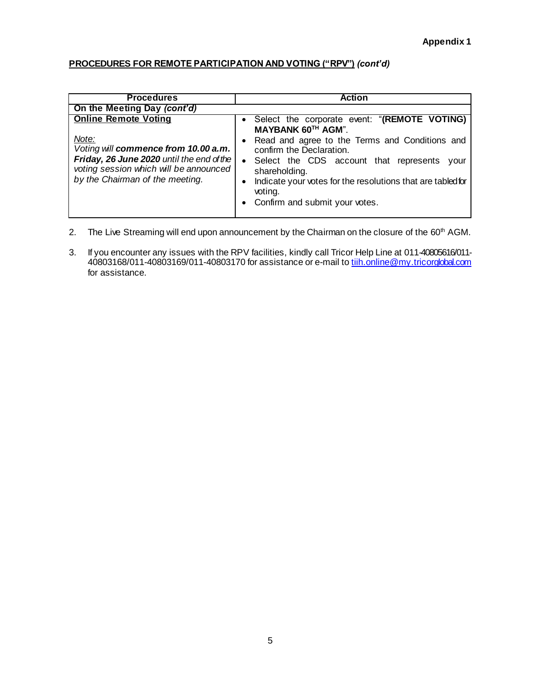# **PROCEDURES FOR REMOTE PARTICIPATION AND VOTING ("RPV")** *(cont'd)*

| <b>Procedures</b>                                                                                                                                                                                      | <b>Action</b>                                                                                                                                                                                                                                                                                                                                                            |
|--------------------------------------------------------------------------------------------------------------------------------------------------------------------------------------------------------|--------------------------------------------------------------------------------------------------------------------------------------------------------------------------------------------------------------------------------------------------------------------------------------------------------------------------------------------------------------------------|
| On the Meeting Day (cont'd)                                                                                                                                                                            |                                                                                                                                                                                                                                                                                                                                                                          |
| <b>Online Remote Voting</b><br>Note:<br>Voting will commence from 10.00 a.m.<br>Friday, 26 June 2020 until the end of the<br>voting session which will be announced<br>by the Chairman of the meeting. | Select the corporate event: "(REMOTE VOTING)<br>MAYBANK 60TH AGM".<br>Read and agree to the Terms and Conditions and<br>$\bullet$<br>confirm the Declaration.<br>Select the CDS account that represents<br>$\bullet$<br>vour<br>shareholding.<br>Indicate your votes for the resolutions that are tabled for<br>$\bullet$<br>voting.<br>• Confirm and submit your votes. |

- 2. The Live Streaming will end upon announcement by the Chairman on the closure of the 60<sup>th</sup> AGM.
- 3. If you encounter any issues with the RPV facilities, kindly call Tricor Help Line at 011-40805616/011- 40803168/011-40803169/011-40803170 for assistance or e-mail to <u>tiih.online@my.tricorglobal.com</u> for assistance.